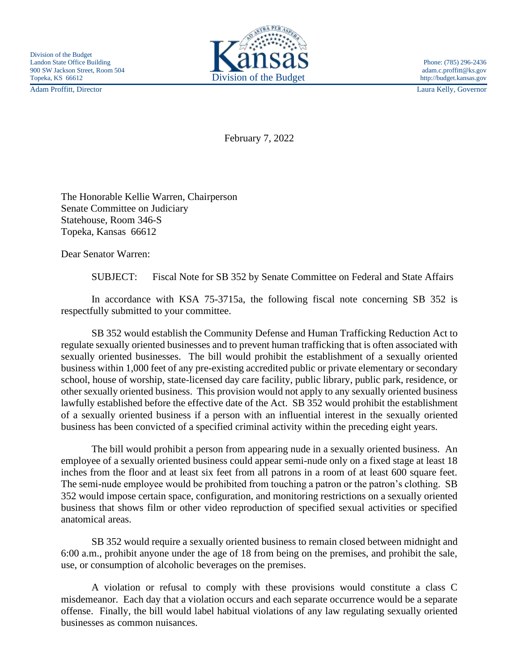Adam Proffitt, Director Laura Kelly, Governor



February 7, 2022

The Honorable Kellie Warren, Chairperson Senate Committee on Judiciary Statehouse, Room 346-S Topeka, Kansas 66612

Dear Senator Warren:

SUBJECT: Fiscal Note for SB 352 by Senate Committee on Federal and State Affairs

In accordance with KSA 75-3715a, the following fiscal note concerning SB 352 is respectfully submitted to your committee.

SB 352 would establish the Community Defense and Human Trafficking Reduction Act to regulate sexually oriented businesses and to prevent human trafficking that is often associated with sexually oriented businesses. The bill would prohibit the establishment of a sexually oriented business within 1,000 feet of any pre-existing accredited public or private elementary or secondary school, house of worship, state-licensed day care facility, public library, public park, residence, or other sexually oriented business. This provision would not apply to any sexually oriented business lawfully established before the effective date of the Act. SB 352 would prohibit the establishment of a sexually oriented business if a person with an influential interest in the sexually oriented business has been convicted of a specified criminal activity within the preceding eight years.

The bill would prohibit a person from appearing nude in a sexually oriented business. An employee of a sexually oriented business could appear semi-nude only on a fixed stage at least 18 inches from the floor and at least six feet from all patrons in a room of at least 600 square feet. The semi-nude employee would be prohibited from touching a patron or the patron's clothing. SB 352 would impose certain space, configuration, and monitoring restrictions on a sexually oriented business that shows film or other video reproduction of specified sexual activities or specified anatomical areas.

SB 352 would require a sexually oriented business to remain closed between midnight and 6:00 a.m., prohibit anyone under the age of 18 from being on the premises, and prohibit the sale, use, or consumption of alcoholic beverages on the premises.

A violation or refusal to comply with these provisions would constitute a class C misdemeanor. Each day that a violation occurs and each separate occurrence would be a separate offense. Finally, the bill would label habitual violations of any law regulating sexually oriented businesses as common nuisances.